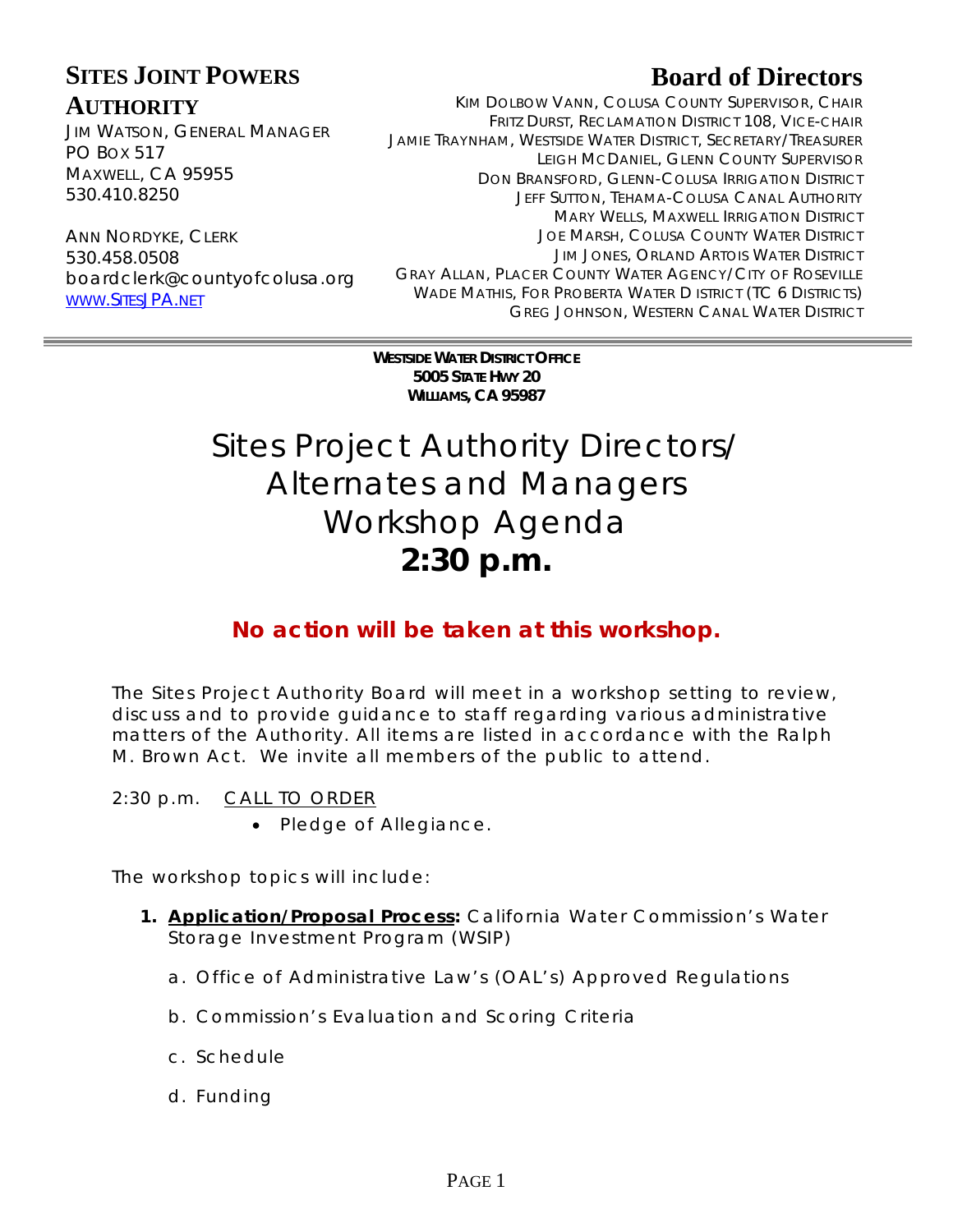### **SITES JOINT POWERS AUTHORITY**

JIM WATSON, GENERAL MANAGER PO BOX 517 MAXWELL, CA 95955 530.410.8250

ANN NORDYKE, CLERK 530.458.0508 boardclerk@countyofcolusa.org [WWW.SITESJPA.NET](http://www.sitesjpa.net/)

# **Board of Directors**

KIM DOLBOW VANN, COLUSA COUNTY SUPERVISOR, CHAIR FRITZ DURST, RECLAMATION DISTRICT 108, VICE-CHAIR JAMIE TRAYNHAM, WESTSIDE WATER DISTRICT, SECRETARY/TREASURER LEIGH MCDANIEL, GLENN COUNTY SUPERVISOR DON BRANSFORD, GLENN-COLUSA IRRIGATION DISTRICT JEFF SUTTON, TEHAMA-COLUSA CANAL AUTHORITY MARY WELLS, MAXWELL IRRIGATION DISTRICT JOE MARSH, COLUSA COUNTY WATER DISTRICT JIM JONES, ORLAND ARTOIS WATER DISTRICT GRAY ALLAN, PLACER COUNTY WATER AGENCY/CITY OF ROSEVILLE WADE MATHIS, FOR PROBERTA WATER D ISTRICT (TC 6 DISTRICTS) GREG JOHNSON, WESTERN CANAL WATER DISTRICT

**WESTSIDE WATER DISTRICT OFFICE 5005 STATE HWY 20 WILLIAMS, CA 95987**

# *Sites Project Authority Directors/ Alternates and Managers Workshop Agenda 2:30 p.m.*

## **No action will be taken at this workshop.**

The Sites Project Authority Board will meet in a workshop setting to review, discuss and to provide guidance to staff regarding various administrative matters of the Authority. All items are listed in accordance with the Ralph M. Brown Act. We invite all members of the public to attend.

2:30 p.m. CALL TO ORDER

• Pledge of Allegiance.

The workshop topics will include:

- **1. Application/Proposal Process:** California Water Commission's Water Storage Investment Program (WSIP)
	- a. Office of Administrative Law's (OAL's) Approved Regulations
	- b. Commission's Evaluation and Scoring Criteria
	- c. Schedule
	- d. Funding